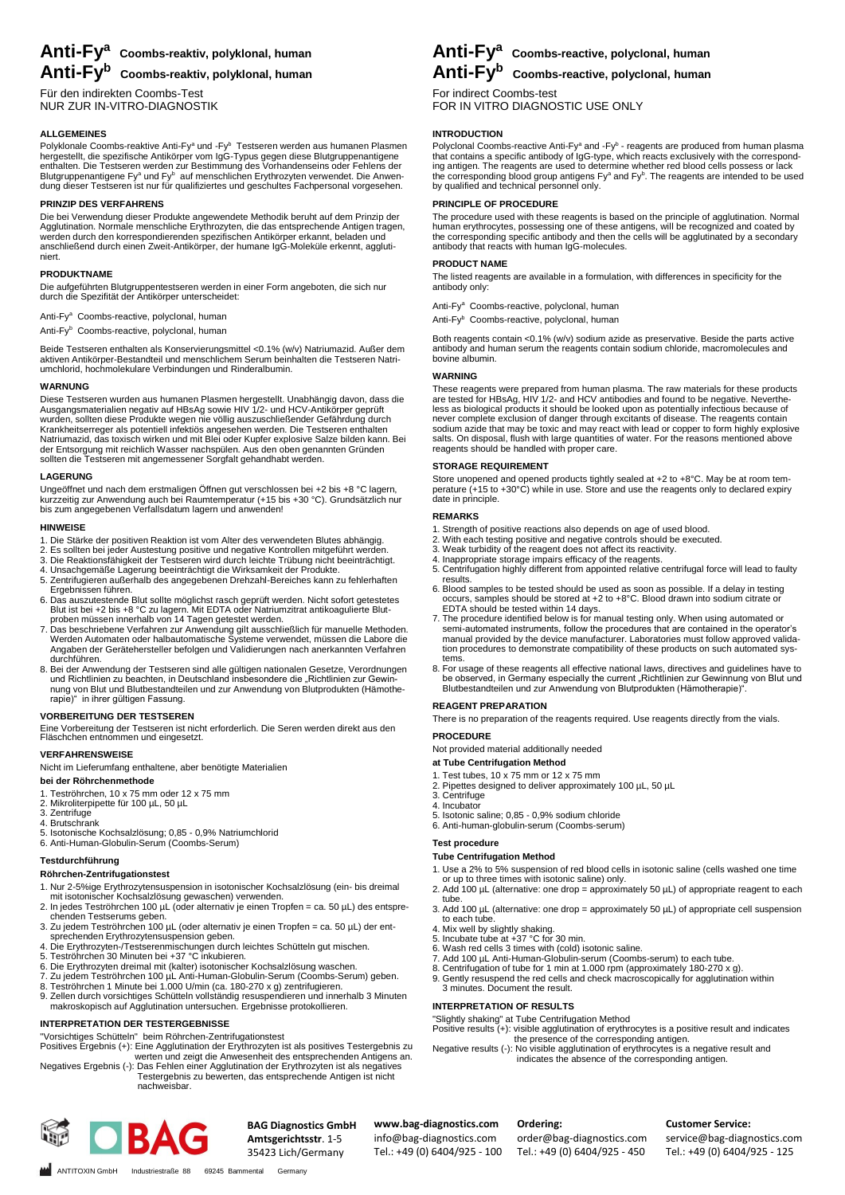# **Anti-Fy<sup>a</sup> Coombs-reaktiv, polyklonal, human**

**Anti-Fy<sup>b</sup> Coombs-reaktiv, polyklonal, human**

Für den indirekten Coombs-Test NUR ZUR IN-VITRO-DIAGNOSTIK

# **ALLGEMEINES**

Polyklonale Coombs-reaktive Anti-Fyª und -Fyª Testseren werden aus humanen Plasmen<br>hergestellt, die spezifische Antikörper vom IgG-Typus gegen diese Blutgruppenantigene<br>enthalten. Die Testseren werden zur Bestimmung des V

# **PRINZIP DES VERFAHRENS**

Die bei Verwendung dieser Produkte angewendete Methodik beruht auf dem Prinzip der<br>Agglutination. Normale menschliche Erythrozyten, die das entsprechende Antigen tragen,<br>werden durch den korrespondierenden spezifischen Ant anschließend durch einen Zweit-Antikörper, der humane IgG-Moleküle erkennt, agglutiniert.

# **PRODUKTNAME**

Die aufgeführten Blutgruppentestseren werden in einer Form angeboten, die sich nur durch die Spezifität der Antikörper unterscheidet:

Anti-Fy<sup>a</sup> Coombs-reactive, polyclonal, human

Anti-Fy<sup>b</sup> Coombs-reactive, polyclonal, human

Beide Testseren enthalten als Konservierungsmittel <0.1% (w/v) Natriumazid. Außer dem<br>aktiven Antikörper-Bestandteil und menschlichem Serum beinhalten die Testseren Natri-<br>umchlorid, hochmolekulare Verbindungen und Rinder

# **WARNUNG**

Diese Testseren wurden aus humanen Plasmen hergestellt. Unabhängig davon, dass die<br>Ausgangsmaterialien negativ auf HBsAg sowie HIV 1/2- und HCV-Antikörper geprüft<br>wurden, sollten diese Produkte wegen nie völlig auszuschlie der Entsorgung mit reichlich Wasser nachspülen. Aus den oben genannten Gründen sollten die Testseren mit angemessener Sorgfalt gehandhabt werden.

# **LAGERUNG**

Ungeöffnet und nach dem erstmaligen Öffnen gut verschlossen bei +2 bis +8 °C lagern, kurzzeitig zur Anwendung auch bei Raumtemperatur (+15 bis +30 °C). Grundsätzlich nur bis zum angegebenen Verfallsdatum lagern und anwenden!

### **HINWEISE**

- 
- 
- 1. Die Stärke der positiven Reaktion ist vom Alter des verwendeten Blutes abhängig.<br>2. Es sollten bei jeder Austestung positive und negative Kontrollen mitgeführt werden.<br>3. Die Reaktionsfähigkeit der Testseren wird durch
- 5. Zentrifugieren außerhalb des angegebenen Drehzahl-Bereiches kann zu fehlerhaften Ergebnissen führen.
- 
- 6. Das auszutestende Blut sollte möglichst rasch geprüft werden. Nicht sofort getestetes<br>Blut is bis +8 °C zu lagern. Mit EDTA oder Natriumzitrat antikoagulierte Blut-<br>proben müssen innerhalb von 14 Tagen getestet werden.<br>
- durchführen. 8. Bei der Anwendung der Testseren sind alle gültigen nationalen Gesetze, Verordnungen und Richtlinien zu beachten, in Deutschland insbesondere die "Richtlinien zur Gewinnung von Blut und Blutbestandteilen und zur Anwendung von Blutprodukten (Hämothe-rapie)" in ihrer gültigen Fassung.

# **VORBEREITUNG DER TESTSEREN**

Eine Vorbereitung der Testseren ist nicht erforderlich. Die Seren werden direkt aus den Fläschchen entnommen und eingesetzt.

# **VERFAHRENSWEISE**

Nicht im Lieferumfang enthaltene, aber benötigte Materialien

# **bei der Röhrchenmethode**

- 1. Teströhrchen, 10 x 75 mm oder 12 x 75 mm
- 2. Mikroliterpipette für 100 µL, 50 µL 3. Zentrifuge
- 
- 4. Brutschrank 5. Isotonische Kochsalzlösung; 0,85 0,9% Natriumchlorid
- 6. Anti-Human-Globulin-Serum (Coombs-Serum)

# **Testdurchführung**

# **Röhrchen-Zentrifugationstest**

- 
- 1. Nur 2-5%ige Erythrozytensuspension in isotonischer Kochsalzlösung (ein- bis dreimal<br>mit isotonischer Kochsalzlösung gewaschen) verwenden.<br>2. In jedes Teströhrchen 100 µL (oder alternativ je einen Tropfen = ca. 50 µL) de
- 
- 
- 
- 

ANTITOXIN GmbH Industriestraße 88 69245 Bammental Germany

- 
- 4. Die Erythrozyten-/Testserenmischungen durch leichtes Schütteln gut mischen.<br>5. Teströhrchen 30 Minuten bei +37 °C inkubieren.<br>6. Die Erythrozyten dreimal mit (kalter) isotonischer Kochsalzlösung waschen.<br>7. Zu jedem Tes
- makroskopisch auf Agglutination untersuchen. Ergebnisse protokollieren.

# **INTERPRETATION DER TESTERGEBNISSE**

"Vorsichtiges Schütteln" beim Röhrchen-Zentrifugationstest

- Positives Ergebnis (+): Eine Agglutination der Erythrozyten ist als positives Testergebnis zu<br>werten und zeigt die Anwesenheit des entsprechenden Antigens an.<br>Negatives Ergebnis (-): Das Fehlen einer Agglutination der Eryt
	- Testergebnis zu bewerten, das entsprechende Antigen ist nicht nachweisbar.



**BAG Diagnostics GmbH Amtsgerichtsstr**. 1-5 35423 Lich/Germany

# **Anti-Fy<sup>a</sup> Coombs-reactive, polyclonal, human**

# **Anti-Fy<sup>b</sup> Coombs-reactive, polyclonal, human**

For indirect Coombs-test FOR IN VITRO DIAGNOSTIC USE ONLY

# **INTRODUCTION**

Polyclonal Coombs-reactive Anti-Fy<sup>a</sup> and -Fy<sup>b</sup> - reagents are produced from human plasma<br>that contains a specific antibody of IgG-type, which reacts exclusively with the correspond-<br>ing antigen. The reagents are used to

# **PRINCIPLE OF PROCEDURE**

The procedure used with these reagents is based on the principle of agglutination. Normal<br>human erythrocytes, possessing one of these antigens, will be recognized and coated by<br>the corresponding specific antibody and then

# **PRODUCT NAME**

The listed reagents are available in a formulation, with differences in specificity for the antibody only:

Anti-Fy<sup>a</sup> Coombs-reactive, polyclonal, human

Anti-Fy<sup>b</sup> Coombs-reactive, polyclonal, human

Both reagents contain <0.1% (w/v) sodium azide as preservative. Beside the parts active antibody and human serum the reagents contain sodium chloride, macromolecules and bovine albumin.

# **WARNING**

These reagents were prepared from human plasma. The raw materials for these products<br>are tested for HBsAg, HIV 1/2- and HCV antibodies and found to be negative. Neverthe-<br>less as biological products it should be looked upo reagents should be handled with proper care.

**STORAGE REQUIREMENT**<br>Store unopened and opened products tightly sealed at +2 to +8°C. May be at room tem-Store unopened and opened products tightly sealed at +2 to +8°C. May be at room tem-perature (+15 to +30°C) while in use. Store and use the reagents only to declared expiry date in principle.

# **REMARKS**

- 
- 1. Strength of positive reactions also depends on age of used blood.<br>2. With each testing positive and negative controls should be executed.<br>3. Weak turbidity of the reagent does not affect its reactivity.
- 
- 4. Inappropriate storage impairs efficacy of the reagents. 5. Centrifugation highly different from appointed relative centrifugal force will lead to faulty results.
- 6. Blood samples to be tested should be used as soon as possible. If a delay in testing occurs, samples should be stored at +2 to +8°C. Blood drawn into sodium citrate or EDTA should be tested within 14 days.
- 7. The procedure identified below is for manual testing only. When using automated or<br>semi-automated instruments, follow the procedures that are contained in the operator's<br>manual provided by the device manufacturer. Labor tion procedures to demonstrate compatibility of these products on such automated systems.
- 8. For usage of these reagents all effective national laws, directives and guidelines have to be observed, in Germany especially the current "Richtlinien zur Gewinnung von Blut und<br>Blutbestandteilen und zur Anwendung von Blutprodukten (Hämotherapie)".

# **REAGENT PREPARATION**

There is no preparation of the reagents required. Use reagents directly from the vials.

# **PROCEDURE**

Not provided material additionally needed

# **at Tube Centrifugation Method**

- 
- 1. Test tubes, 10 x 75 mm or 12 x 75 mm 2. Pipettes designed to deliver approximately 100 µL, 50 µL
- 3. Centrifuge 4. Incubator

info@bag-diagnostics.com Tel.: +49 (0) 6404/925 - 100

- 5. Isotonic saline; 0,85 0,9% sodium chloride
- 6. Anti-human-globulin-serum (Coombs-serum)

# **Test procedure**

# **Tube Centrifugation Method**

- 1. Use a 2% to 5% suspension of red blood cells in isotonic saline (cells washed one time or up to three times with isotonic saline) only.
- 2. Add 100  $\mu$ L (alternative: one drop = approximately 50  $\mu$ L) of appropriate reagent to each tube
- 3. Add 100 µL (alternative: one drop = approximately 50 µL) of appropriate cell suspension
- 
- 
- 
- to each tube.<br>4. Mix well by slightly shaking.<br>5. Incubate tube at +37 °C for 30 min.<br>6. Wash red cells 3 times with (cold) isotonic saline.<br>7. Add 100 µL Anti-Human-Globulin-serum (Coombs-serum) to each tube.<br>8. Centrifug
- 9. Gently resuspend the red cells and check macroscopically for agglutination within 3 minutes. Document the result.

# **INTERPRETATION OF RESULTS**

"Slightly shaking" at Tube Centrifugation Method

Positive results (+): visible agglutination of erythrocytes is a positive result and indicates<br>the presence of the corresponding antigen.<br>Negative results (-): No visible agglutination of erythrocytes is a negative result

### **www.bag-diagnostics.com Ordering:**

order@bag-diagnostics.com Tel.: +49 (0) 6404/925 - 450

**Customer Service:**

service@bag-diagnostics.com Tel.: +49 (0) 6404/925 - 125